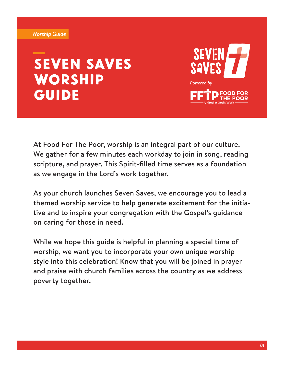#### *Worship Guide*

# Seven Saves **WORSHIP GUIDE**



At Food For The Poor, worship is an integral part of our culture. We gather for a few minutes each workday to join in song, reading scripture, and prayer. This Spirit-filled time serves as a foundation as we engage in the Lord's work together.

As your church launches Seven Saves, we encourage you to lead a themed worship service to help generate excitement for the initiative and to inspire your congregation with the Gospel's guidance on caring for those in need.

While we hope this guide is helpful in planning a special time of worship, we want you to incorporate your own unique worship style into this celebration! Know that you will be joined in prayer and praise with church families across the country as we address poverty together.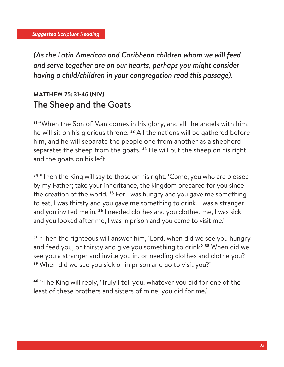*(As the Latin American and Caribbean children whom we will feed and serve together are on our hearts, perhaps you might consider having a child/children in your congregation read this passage).* 

## **MATTHEW 25: 31-46 (NIV)** The Sheep and the Goats

<sup>31</sup>"When the Son of Man comes in his glory, and all the angels with him, he will sit on his glorious throne.<sup>32</sup> All the nations will be gathered before him, and he will separate the people one from another as a shepherd separates the sheep from the goats.<sup>33</sup> He will put the sheep on his right and the goats on his left.

<sup>34</sup> "Then the King will say to those on his right, 'Come, you who are blessed by my Father; take your inheritance, the kingdom prepared for you since the creation of the world.<sup>35</sup> For I was hungry and you gave me something to eat, I was thirsty and you gave me something to drink, I was a stranger and you invited me in, 36 I needed clothes and you clothed me, I was sick and you looked after me, I was in prison and you came to visit me.'

37 "Then the righteous will answer him, 'Lord, when did we see you hungry and feed you, or thirsty and give you something to drink? <sup>38</sup> When did we see you a stranger and invite you in, or needing clothes and clothe you? <sup>39</sup> When did we see you sick or in prison and go to visit you?'

<sup>40</sup> "The King will reply, 'Truly I tell you, whatever you did for one of the least of these brothers and sisters of mine, you did for me.'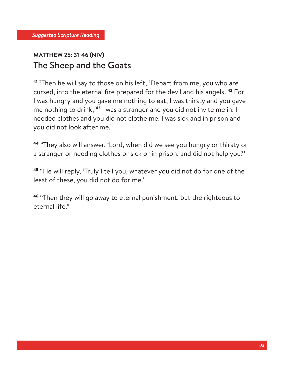### **MATTHEW 25: 31-46 (NIV)** The Sheep and the Goats

<sup>41</sup>"Then he will say to those on his left, 'Depart from me, you who are cursed, into the eternal fire prepared for the devil and his angels.<sup>42</sup> For I was hungry and you gave me nothing to eat, I was thirsty and you gave me nothing to drink, 43 I was a stranger and you did not invite me in, I needed clothes and you did not clothe me, I was sick and in prison and you did not look after me.'

<sup>44</sup> "They also will answer, 'Lord, when did we see you hungry or thirsty or a stranger or needing clothes or sick or in prison, and did not help you?'

<sup>45</sup> "He will reply, 'Truly I tell you, whatever you did not do for one of the least of these, you did not do for me.'

<sup>46</sup> "Then they will go away to eternal punishment, but the righteous to eternal life."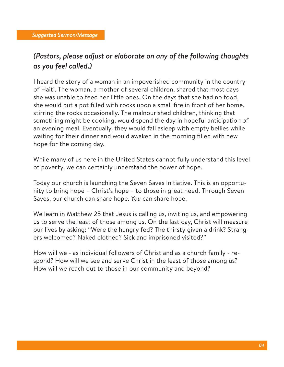#### *(Pastors, please adjust or elaborate on any of the following thoughts as you feel called.)*

I heard the story of a woman in an impoverished community in the country of Haiti. The woman, a mother of several children, shared that most days she was unable to feed her little ones. On the days that she had no food, she would put a pot filled with rocks upon a small fire in front of her home, stirring the rocks occasionally. The malnourished children, thinking that something might be cooking, would spend the day in hopeful anticipation of an evening meal. Eventually, they would fall asleep with empty bellies while waiting for their dinner and would awaken in the morning filled with new hope for the coming day.

While many of us here in the United States cannot fully understand this level of poverty, we can certainly understand the power of hope.

Today our church is launching the Seven Saves Initiative. This is an opportunity to bring hope – Christ's hope – to those in great need. Through Seven Saves, our church can share hope. *You* can share hope.

We learn in Matthew 25 that Jesus is calling us, inviting us, and empowering us to serve the least of those among us. On the last day, Christ will measure our lives by asking: "Were the hungry fed? The thirsty given a drink? Strangers welcomed? Naked clothed? Sick and imprisoned visited?"

How will we - as individual followers of Christ and as a church family - respond? How will we see and serve Christ in the least of those among us? How will we reach out to those in our community and beyond?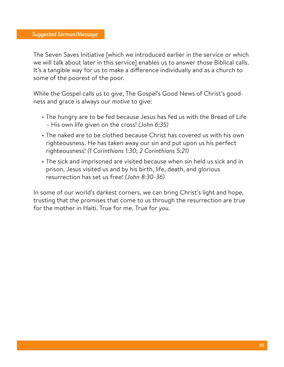The Seven Saves Initiative [which we introduced earlier in the service or which we will talk about later in this service] enables us to answer those Biblical calls. It's a tangible way for us to make a difference individually and as a church to some of the poorest of the poor.

While the Gospel calls us to give, The Gospel's Good News of Christ's goodness and grace is always our *motive* to give:

- The hungry are to be fed because Jesus has fed us with the Bread of Life – His own life given on the cross! *(John 6:35)*
- The naked are to be clothed because Christ has covered us with his own righteousness. He has taken away our sin and put upon us his perfect righteousness! *(1 Corinthians 1:30; 2 Corinthians 5:21)*
- The sick and imprisoned are visited because when sin held us sick and in prison, Jesus visited us and by his birth, life, death, and glorious resurrection has set us free! *(John 8:30-36)*

In some of our world's darkest corners, we can bring Christ's light and hope, trusting that the promises that come to us through the resurrection are true for the mother in Haiti. True for me. True for *you.*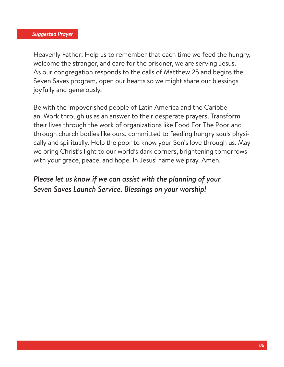Heavenly Father: Help us to remember that each time we feed the hungry, welcome the stranger, and care for the prisoner, we are serving Jesus. As our congregation responds to the calls of Matthew 25 and begins the Seven Saves program, open our hearts so we might share our blessings joyfully and generously.

Be with the impoverished people of Latin America and the Caribbean. Work through us as an answer to their desperate prayers. Transform their lives through the work of organizations like Food For The Poor and through church bodies like ours, committed to feeding hungry souls physically and spiritually. Help the poor to know your Son's love through us. May we bring Christ's light to our world's dark corners, brightening tomorrows with your grace, peace, and hope. In Jesus' name we pray. Amen.

#### *Please let us know if we can assist with the planning of your Seven Saves Launch Service. Blessings on your worship!*